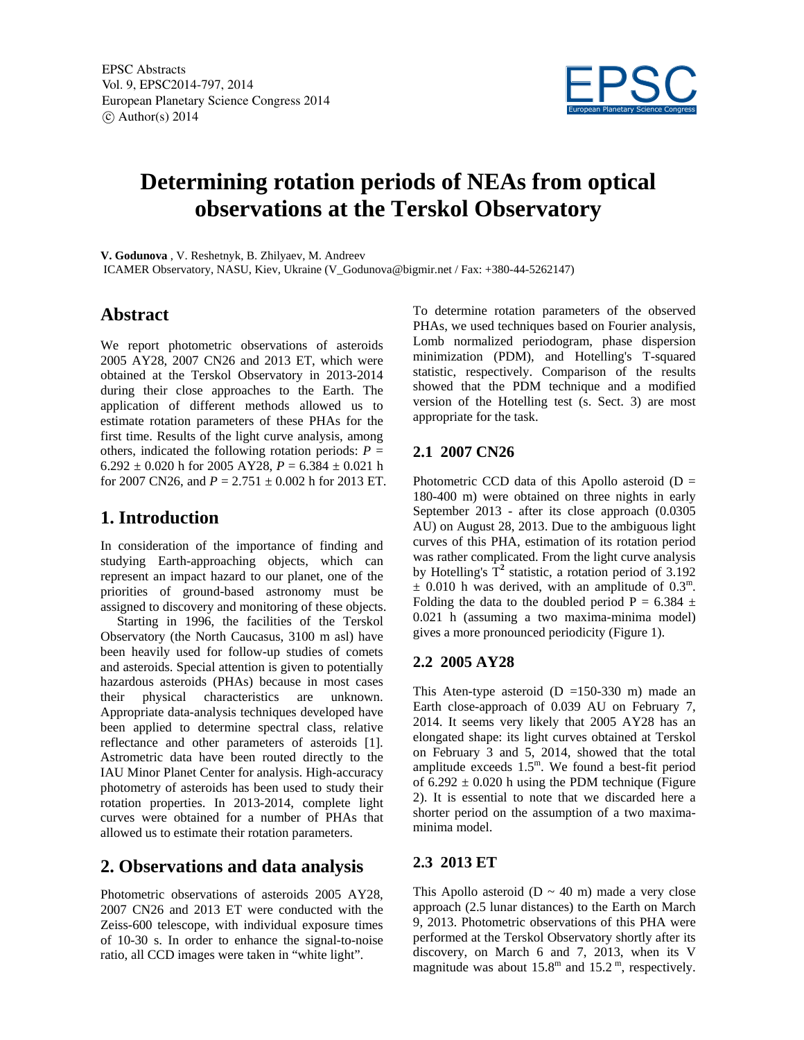

# **Determining rotation periods of NEAs from optical observations at the Terskol Observatory**

**V. Godunova** , V. Reshetnyk, B. Zhilyaev, M. Andreev

ICAMER Observatory, NASU, Kiev, Ukraine (V\_Godunova@bigmir.net / Fax: +380-44-5262147)

## **Abstract**

We report photometric observations of asteroids 2005 AY28, 2007 CN26 and 2013 ET, which were obtained at the Terskol Observatory in 2013-2014 during their close approaches to the Earth. The application of different methods allowed us to estimate rotation parameters of these PHAs for the first time. Results of the light curve analysis, among others, indicated the following rotation periods:  $P =$  $6.292 \pm 0.020$  h for 2005 AY28,  $P = 6.384 \pm 0.021$  h for 2007 CN26, and  $P = 2.751 \pm 0.002$  h for 2013 ET.

# **1. Introduction**

In consideration of the importance of finding and studying Earth-approaching objects, which can represent an impact hazard to our planet, one of the priorities of ground-based astronomy must be assigned to discovery and monitoring of these objects.

 Starting in 1996, the facilities of the Terskol Observatory (the North Caucasus, 3100 m asl) have been heavily used for follow-up studies of comets and asteroids. Special attention is given to potentially hazardous asteroids (PHAs) because in most cases<br>their physical characteristics are unknown. their physical characteristics are unknown. Appropriate data-analysis techniques developed have been applied to determine spectral class, relative reflectance and other parameters of asteroids [1]. Astrometric data have been routed directly to the IAU Minor Planet Center for analysis. High-accuracy photometry of asteroids has been used to study their rotation properties. In 2013-2014, complete light curves were obtained for a number of PHAs that allowed us to estimate their rotation parameters.

# **2. Observations and data analysis**

Photometric observations of asteroids 2005 AY28, 2007 CN26 and 2013 ET were conducted with the Zeiss-600 telescope, with individual exposure times of 10-30 s. In order to enhance the signal-to-noise ratio, all CCD images were taken in "white light".

To determine rotation parameters of the observed PHAs, we used techniques based on Fourier analysis, Lomb normalized periodogram, phase dispersion minimization (PDM), and Hotelling's T-squared statistic, respectively. Comparison of the results showed that the PDM technique and a modified version of the Hotelling test (s. Sect. 3) are most appropriate for the task.

#### **2.1 2007 CN26**

Photometric CCD data of this Apollo asteroid  $(D =$ 180-400 m) were obtained on three nights in early September 2013 - after its close approach (0.0305 AU) on August 28, 2013. Due to the ambiguous light curves of this PHA, estimation of its rotation period was rather complicated. From the light curve analysis by Hotelling's  $T^2$  statistic, a rotation period of 3.192  $\pm$  0.010 h was derived, with an amplitude of 0.3<sup>m</sup>. Folding the data to the doubled period P =  $6.384 \pm$ 0.021 h (assuming a two maxima-minima model) gives a more pronounced periodicity (Figure 1).

#### **2.2 2005 AY28**

This Aten-type asteroid  $(D = 150-330)$  m made an Earth close-approach of 0.039 AU on February 7, 2014. It seems very likely that 2005 AY28 has an elongated shape: its light curves obtained at Terskol on February 3 and 5, 2014, showed that the total amplitude exceeds  $1.5^{\text{m}}$ . We found a best-fit period of  $6.292 \pm 0.020$  h using the PDM technique (Figure 2). It is essential to note that we discarded here a shorter period on the assumption of a two maximaminima model.

#### **2.3 2013 ET**

This Apollo asteroid ( $D \sim 40$  m) made a very close approach (2.5 lunar distances) to the Earth on March 9, 2013. Photometric observations of this PHA were performed at the Terskol Observatory shortly after its discovery, on March 6 and 7, 2013, when its V magnitude was about  $15.8^{\text{m}}$  and  $15.2^{\text{m}}$ , respectively.